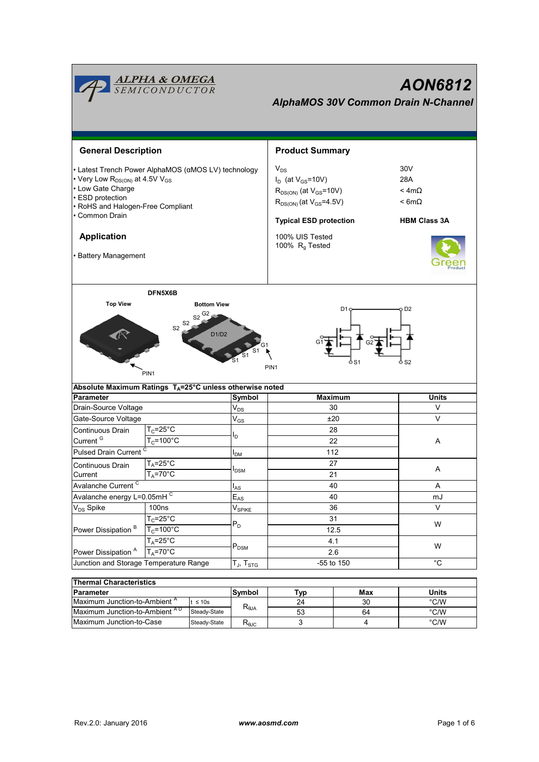|                                                                                                                                                                                                                                                             | <b>ALPHA &amp; OMEGA</b><br>SEMICONDUCTOR                    |                                                   |                                                                                                                                                                                        | AON6812<br><b>AlphaMOS 30V Common Drain N-Channel</b>                |     |                                |  |  |
|-------------------------------------------------------------------------------------------------------------------------------------------------------------------------------------------------------------------------------------------------------------|--------------------------------------------------------------|---------------------------------------------------|----------------------------------------------------------------------------------------------------------------------------------------------------------------------------------------|----------------------------------------------------------------------|-----|--------------------------------|--|--|
| <b>General Description</b>                                                                                                                                                                                                                                  |                                                              |                                                   |                                                                                                                                                                                        | <b>Product Summary</b>                                               |     |                                |  |  |
| • Latest Trench Power AlphaMOS (αMOS LV) technology<br>• Very Low R <sub>DS(ON)</sub> at 4.5V V <sub>GS</sub><br>• Low Gate Charge<br>· ESD protection<br>• RoHS and Halogen-Free Compliant<br>• Common Drain<br><b>Application</b><br>• Battery Management |                                                              |                                                   | $V_{DS}$<br>$I_D$ (at $V_{GS}$ =10V)<br>$R_{DS(ON)}$ (at $V_{GS}$ =10V)<br>$R_{DS(ON)}$ (at $V_{GS} = 4.5V$ )<br><b>Typical ESD protection</b><br>100% UIS Tested<br>100% $R_g$ Tested | 30V<br>28A<br>$<$ 4m $\Omega$<br>$< 6m\Omega$<br><b>HBM Class 3A</b> |     |                                |  |  |
| <b>Top View</b>                                                                                                                                                                                                                                             | DFN5X6B<br>S <sub>2</sub><br>S <sub>2</sub>                  | <b>Bottom View</b><br>$S2$ <sup>G2</sup><br>D1/D2 |                                                                                                                                                                                        |                                                                      | D1  | D <sub>2</sub>                 |  |  |
| Absolute Maximum Ratings T <sub>A</sub> =25°C unless otherwise noted                                                                                                                                                                                        | PIN <sub>1</sub>                                             |                                                   |                                                                                                                                                                                        | PIN <sub>1</sub>                                                     | S1  | S <sub>2</sub>                 |  |  |
| <b>Parameter</b>                                                                                                                                                                                                                                            |                                                              |                                                   | Symbol                                                                                                                                                                                 | Maximum                                                              |     | <b>Units</b>                   |  |  |
| Drain-Source Voltage                                                                                                                                                                                                                                        |                                                              |                                                   | $\mathsf{V}_{\mathsf{DS}}$                                                                                                                                                             | 30                                                                   |     | V                              |  |  |
| Gate-Source Voltage                                                                                                                                                                                                                                         |                                                              |                                                   | $\mathrm{V}_{\text{GS}}$                                                                                                                                                               | ±20                                                                  |     | $\vee$                         |  |  |
| Continuous Drain<br>Current <sup>G</sup><br>Pulsed Drain Current <sup>C</sup>                                                                                                                                                                               | $T_c = 25$ °C<br>$T_c = 100^{\circ}$ C                       |                                                   | l <sub>D</sub>                                                                                                                                                                         | 28<br>22                                                             |     | A                              |  |  |
| Continuous Drain<br>Current                                                                                                                                                                                                                                 | $T_A = 25^\circ \overline{C}$<br>$T_A = 70^\circ C$          |                                                   | $I_{DM}$<br>$I_{DSM}$                                                                                                                                                                  | 112<br>27<br>21                                                      |     | Α                              |  |  |
| Avalanche Current <sup>C</sup>                                                                                                                                                                                                                              |                                                              |                                                   | $I_{AS}$<br>$E_{AS}$                                                                                                                                                                   | 40                                                                   |     | Α                              |  |  |
|                                                                                                                                                                                                                                                             | Avalanche energy L=0.05mHC                                   |                                                   |                                                                                                                                                                                        | 40                                                                   |     | mJ                             |  |  |
| V <sub>DS</sub> Spike<br>100ns                                                                                                                                                                                                                              |                                                              |                                                   | $V_{SPIKE}$                                                                                                                                                                            | 36                                                                   |     | $\mathsf{V}$                   |  |  |
| Power Dissipation <sup>B</sup>                                                                                                                                                                                                                              | $T_c = 25$ °C<br>$T_c = 100^{\circ}$ C<br>$T_A = 25^\circ C$ |                                                   | $P_D$                                                                                                                                                                                  | 31<br>12.5<br>4.1                                                    |     | W                              |  |  |
| $T_A = 70^\circ C$<br>Power Dissipation <sup>A</sup><br>Junction and Storage Temperature Range                                                                                                                                                              |                                                              |                                                   | $\mathsf{P}_\mathsf{DSM}$<br>$T_J$ , $T_{STG}$                                                                                                                                         | 2.6<br>-55 to 150                                                    |     | W<br>$^{\circ}$ C              |  |  |
|                                                                                                                                                                                                                                                             |                                                              |                                                   |                                                                                                                                                                                        |                                                                      |     |                                |  |  |
| <b>Thermal Characteristics</b>                                                                                                                                                                                                                              |                                                              |                                                   |                                                                                                                                                                                        |                                                                      |     |                                |  |  |
| Parameter<br>Maximum Junction-to-Ambient <sup>A</sup>                                                                                                                                                                                                       |                                                              |                                                   | Symbol                                                                                                                                                                                 | <b>Typ</b>                                                           | Max | <b>Units</b><br>$^{\circ}$ C/W |  |  |
| t ≤ 10s<br>$M$ ovimum lunotian to Ambiant $AD$<br>0.12333880                                                                                                                                                                                                |                                                              |                                                   | $R_{\theta JA}$                                                                                                                                                                        | 24                                                                   | 30  | 00001                          |  |  |

Maximum Junction-to-Case Steady-State R<sub>θJC</sub> 3 4 °C/W Maximum Junction-to-Ambient <sup>AD</sup> Steady-State <sup>1961</sup>A 53 64 64 °C/W

3

53

64 4

Steady-State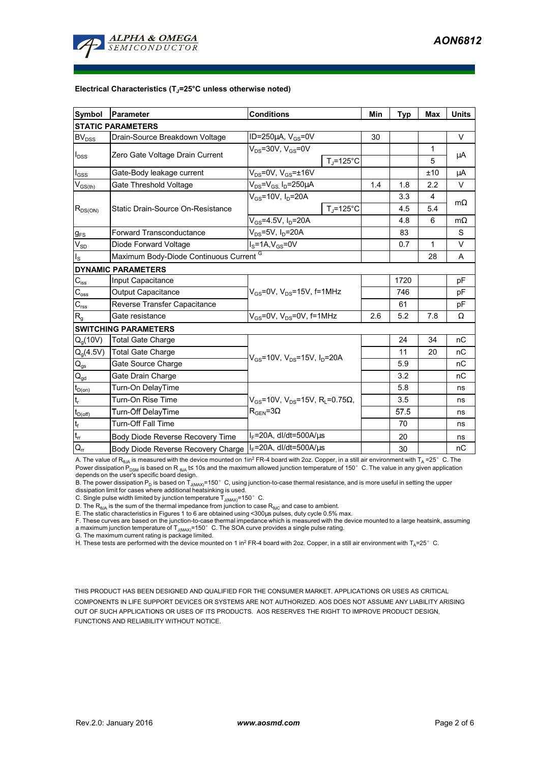

#### **Electrical Characteristics (TJ=25°C unless otherwise noted)**

| <b>Symbol</b>                                      | <b>Parameter</b>                                   | <b>Conditions</b>                        |                                                      | Min | <b>Typ</b> | <b>Max</b> | <b>Units</b> |  |  |  |  |
|----------------------------------------------------|----------------------------------------------------|------------------------------------------|------------------------------------------------------|-----|------------|------------|--------------|--|--|--|--|
| <b>STATIC PARAMETERS</b>                           |                                                    |                                          |                                                      |     |            |            |              |  |  |  |  |
| <b>BV<sub>DSS</sub></b>                            | Drain-Source Breakdown Voltage                     | ID=250 $\mu$ A, V <sub>GS</sub> =0V      |                                                      | 30  |            |            | $\vee$       |  |  |  |  |
| $I_{DSS}$                                          | Zero Gate Voltage Drain Current                    | $V_{DS}$ =30V, $V_{GS}$ =0V              | $T_{\rm J}$ =125°C                                   |     |            | 1<br>5     | μA           |  |  |  |  |
| $I_{GSS}$                                          | Gate-Body leakage current                          | $V_{DS}$ =0V, $V_{GS}$ = $\pm$ 16V       |                                                      |     |            | ±10        | μA           |  |  |  |  |
| $\mathsf{V}_{\mathsf{GS}(\underbar{\mathsf{th}})}$ | Gate Threshold Voltage                             | $V_{DS} = V_{GS}$ , $I_D = 250 \mu A$    |                                                      | 1.4 | 1.8        | 2.2        | $\vee$       |  |  |  |  |
| $R_{DS(ON)}$                                       |                                                    | $V_{GS}$ =10V, $I_D$ =20A                |                                                      |     | 3.3        | 4          |              |  |  |  |  |
|                                                    | Static Drain-Source On-Resistance                  |                                          | $T_{\rm J}$ =125°C                                   |     | 4.5        | 5.4        | $m\Omega$    |  |  |  |  |
|                                                    |                                                    | $V_{GS}$ =4.5V, $I_D$ =20A               |                                                      |     | 4.8        | 6          | $m\Omega$    |  |  |  |  |
| $g_{FS}$                                           | <b>Forward Transconductance</b>                    | $V_{DS}$ =5V, I <sub>D</sub> =20A        |                                                      | 83  |            | S          |              |  |  |  |  |
| $V_{SD}$                                           | Diode Forward Voltage                              | $IS=1A, VGS=0V$                          |                                                      |     | 0.7        | 1          | $\vee$       |  |  |  |  |
| $I_{\rm S}$                                        | Maximum Body-Diode Continuous Current <sup>G</sup> |                                          |                                                      | 28  | A          |            |              |  |  |  |  |
|                                                    | <b>DYNAMIC PARAMETERS</b>                          |                                          |                                                      |     |            |            |              |  |  |  |  |
| $C_{\text{iss}}$                                   | Input Capacitance                                  | $V_{GS}$ =0V, $V_{DS}$ =15V, f=1MHz      |                                                      |     | 1720       |            | pF           |  |  |  |  |
| $C_{\rm oss}$                                      | <b>Output Capacitance</b>                          |                                          |                                                      |     | 746        |            | pF           |  |  |  |  |
| $C_{\text{rss}}$                                   | Reverse Transfer Capacitance                       |                                          |                                                      | 61  |            | pF         |              |  |  |  |  |
| R <sub>g</sub>                                     | Gate resistance                                    | $V_{GS}$ =0V, $V_{DS}$ =0V, f=1MHz       |                                                      | 2.6 | 5.2        | 7.8        | Ω            |  |  |  |  |
|                                                    | <b>SWITCHING PARAMETERS</b>                        |                                          |                                                      |     |            |            |              |  |  |  |  |
| $Q_q(10V)$                                         | <b>Total Gate Charge</b>                           | $V_{GS}$ =10V, $V_{DS}$ =15V, $I_D$ =20A |                                                      |     | 24         | 34         | nC           |  |  |  |  |
| $Q_g(4.5V)$                                        | <b>Total Gate Charge</b>                           |                                          |                                                      |     | 11         | 20         | nC           |  |  |  |  |
| $\mathsf{Q}_{\mathsf{gs}}$                         | Gate Source Charge                                 |                                          |                                                      |     | 5.9        |            | nC           |  |  |  |  |
| $\mathsf{Q}_{\mathsf{gd}}$                         | Gate Drain Charge                                  |                                          |                                                      |     | 3.2        |            | nC           |  |  |  |  |
| $t_{D(on)}$                                        | Turn-On DelayTime                                  |                                          |                                                      |     | 5.8        |            | ns           |  |  |  |  |
| $\mathfrak{t}_{\mathsf{r}}$                        | Turn-On Rise Time                                  |                                          | $V_{GS}$ =10V, $V_{DS}$ =15V, R <sub>i</sub> =0.75Ω, |     | 3.5        |            | ns           |  |  |  |  |
| $t_{D(off)}$                                       | Turn-Off DelayTime                                 | $R_{\text{GEN}} = 3\Omega$               |                                                      |     | 57.5       |            | ns           |  |  |  |  |
| $\mathsf{t}_{\mathsf{f}}$                          | <b>Turn-Off Fall Time</b>                          |                                          |                                                      |     | 70         |            | ns           |  |  |  |  |
| $t_{rr}$                                           | Body Diode Reverse Recovery Time                   | $I_F$ =20A, dl/dt=500A/ $\mu$ s          |                                                      |     | 20         |            | ns           |  |  |  |  |
| $Q_{rr}$                                           | Body Diode Reverse Recovery Charge                 | $I_F$ =20A, dl/dt=500A/ $\mu$ s          |                                                      |     | 30         |            | nC           |  |  |  |  |

A. The value of R<sub>BJA</sub> is measured with the device mounted on 1in<sup>2</sup> FR-4 board with 2oz. Copper, in a still air environment with T<sub>A</sub> =25° C. The Power dissipation P<sub>DSM</sub> is based on R <sub>θJA</sub> t≤ 10s and the maximum allowed junction temperature of 150°C. The value in any given application<br>depends on the user's specific board design.

B. The power dissipation P<sub>D</sub> is based on T<sub>J(MAX)</sub>=150°C, using junction-to-case thermal resistance, and is more useful in setting the upper<br>dissipation limit for cases where additional heatsinking is used.

C. Single pulse width limited by junction temperature  $\overline{T}_{J(MAX)}$ =150°C.

D. The  $R_{\theta JA}$  is the sum of the thermal impedance from junction to case  $R_{\theta JC}$  and case to ambient.

E. The static characteristics in Figures 1 to 6 are obtained using <300µs pulses, duty cycle 0.5% max.

F. These curves are based on the junction-to-case thermal impedance which is measured with the device mounted to a large heatsink, assuming a maximum junction temperature of  $T_{J(MAX)}$ =150°C. The SOA curve provides a single pulse rating.

G. The maximum current rating is package limited.

H. These tests are performed with the device mounted on 1 in<sup>2</sup> FR-4 board with 2oz. Copper, in a still air environment with T<sub>A</sub>=25°C.

THIS PRODUCT HAS BEEN DESIGNED AND QUALIFIED FOR THE CONSUMER MARKET. APPLICATIONS OR USES AS CRITICAL COMPONENTS IN LIFE SUPPORT DEVICES OR SYSTEMS ARE NOT AUTHORIZED. AOS DOES NOT ASSUME ANY LIABILITY ARISING OUT OF SUCH APPLICATIONS OR USES OF ITS PRODUCTS. AOS RESERVES THE RIGHT TO IMPROVE PRODUCT DESIGN, FUNCTIONS AND RELIABILITY WITHOUT NOTICE.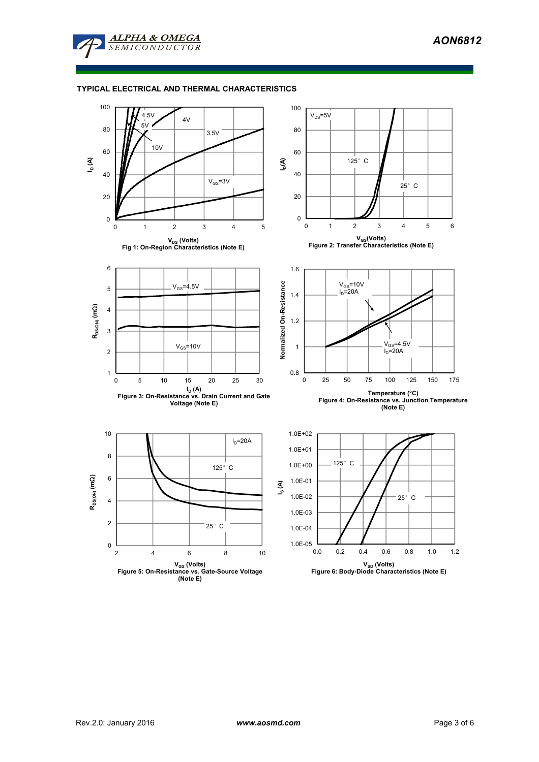

### **TYPICAL ELECTRICAL AND THERMAL CHARACTERISTICS**

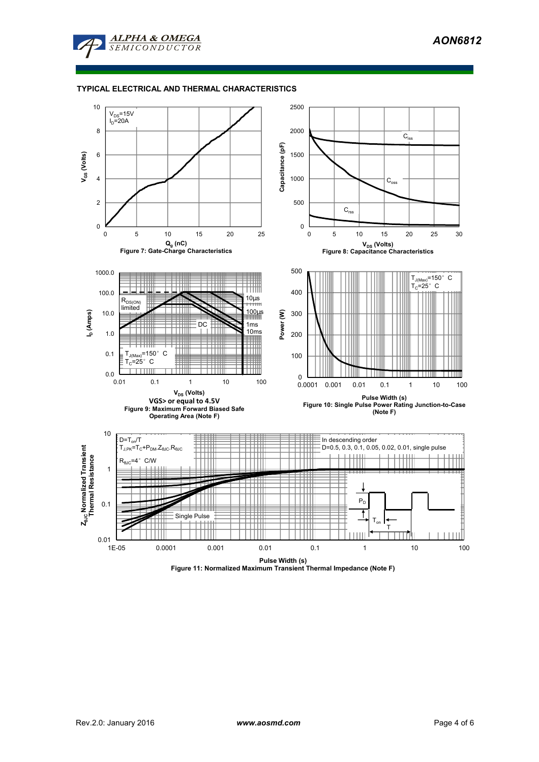

### **TYPICAL ELECTRICAL AND THERMAL CHARACTERISTICS**



**Figure 11: Normalized Maximum Transient Thermal Impedance (Note F)**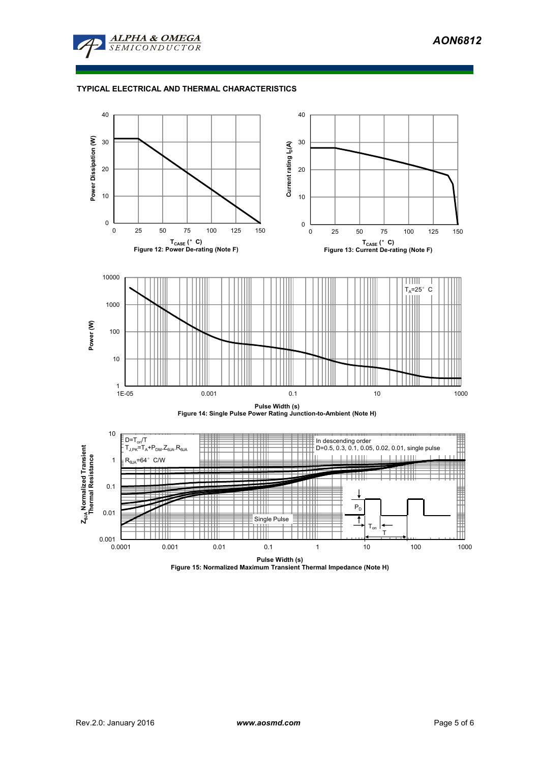

# **TYPICAL ELECTRICAL AND THERMAL CHARACTERISTICS**